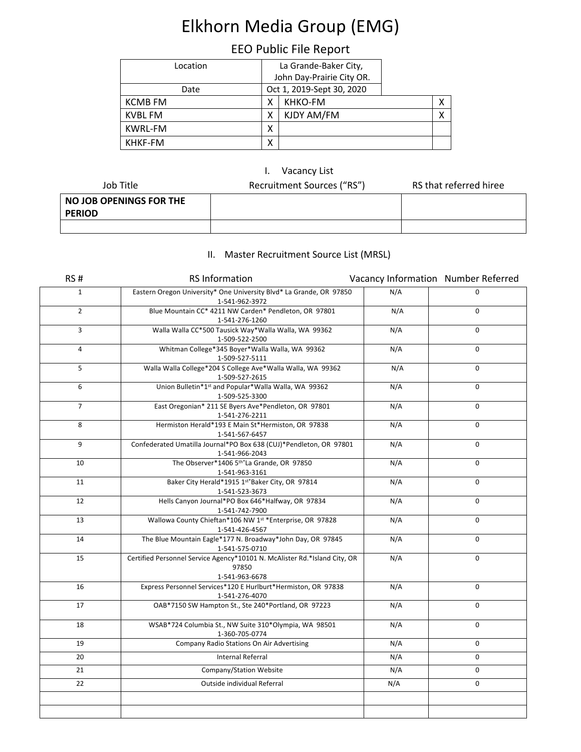# Elkhorn Media Group (EMG)

## EEO Public File Report

| Location       | La Grande-Baker City,     |  |
|----------------|---------------------------|--|
|                | John Day-Prairie City OR. |  |
| Date           | Oct 1, 2019-Sept 30, 2020 |  |
| <b>KCMB FM</b> | KHKO-FM<br>х              |  |
| KVBL FM        | KJDY AM/FM<br>х           |  |
| <b>KWRL-FM</b> | χ                         |  |
| KHKF-FM        | х                         |  |

### I. Vacancy List

| Job Title                                | Recruitment Sources ("RS") | RS that referred hiree |
|------------------------------------------|----------------------------|------------------------|
| NO JOB OPENINGS FOR THE<br><b>PERIOD</b> |                            |                        |
|                                          |                            |                        |

### II. Master Recruitment Source List (MRSL)

| RS#            | <b>RS Information</b>                                                                                | Vacancy Information Number Referred |             |
|----------------|------------------------------------------------------------------------------------------------------|-------------------------------------|-------------|
| $\mathbf{1}$   | Eastern Oregon University* One University Blvd* La Grande, OR 97850<br>1-541-962-3972                | N/A                                 | $\Omega$    |
| $\overline{2}$ | Blue Mountain CC* 4211 NW Carden* Pendleton, OR 97801<br>1-541-276-1260                              | N/A                                 | $\Omega$    |
| 3              | Walla Walla CC*500 Tausick Way*Walla Walla, WA 99362<br>1-509-522-2500                               | N/A                                 | $\Omega$    |
| 4              | Whitman College*345 Boyer*Walla Walla, WA 99362<br>1-509-527-5111                                    | N/A                                 | $\mathbf 0$ |
| 5              | Walla Walla College*204 S College Ave*Walla Walla, WA 99362<br>1-509-527-2615                        | N/A                                 | $\mathbf 0$ |
| 6              | Union Bulletin*1st and Popular*Walla Walla, WA 99362<br>1-509-525-3300                               | N/A                                 | 0           |
| $\overline{7}$ | East Oregonian* 211 SE Byers Ave*Pendleton, OR 97801<br>1-541-276-2211                               | N/A                                 | $\mathbf 0$ |
| 8              | Hermiston Herald*193 E Main St*Hermiston, OR 97838<br>1-541-567-6457                                 | N/A                                 | $\mathbf 0$ |
| 9              | Confederated Umatilla Journal*PO Box 638 (CUJ)*Pendleton, OR 97801<br>1-541-966-2043                 | N/A                                 | 0           |
| 10             | The Observer*1406 5th*La Grande, OR 97850<br>1-541-963-3161                                          | N/A                                 | $\Omega$    |
| 11             | Baker City Herald*1915 1st*Baker City, OR 97814<br>1-541-523-3673                                    | N/A                                 | 0           |
| 12             | Hells Canyon Journal*PO Box 646*Halfway, OR 97834<br>1-541-742-7900                                  | N/A                                 | $\mathbf 0$ |
| 13             | Wallowa County Chieftan*106 NW 1st *Enterprise, OR 97828<br>1-541-426-4567                           | N/A                                 | 0           |
| 14             | The Blue Mountain Eagle*177 N. Broadway*John Day, OR 97845<br>1-541-575-0710                         | N/A                                 | $\mathbf 0$ |
| 15             | Certified Personnel Service Agency*10101 N. McAlister Rd.*Island City, OR<br>97850<br>1-541-963-6678 | N/A                                 | $\mathbf 0$ |
| 16             | Express Personnel Services*120 E Hurlburt*Hermiston, OR 97838<br>1-541-276-4070                      | N/A                                 | 0           |
| 17             | OAB*7150 SW Hampton St., Ste 240*Portland, OR 97223                                                  | N/A                                 | $\Omega$    |
| 18             | WSAB*724 Columbia St., NW Suite 310*Olympia, WA 98501<br>1-360-705-0774                              | N/A                                 | 0           |
| 19             | Company Radio Stations On Air Advertising                                                            | N/A                                 | 0           |
| 20             | <b>Internal Referral</b>                                                                             | N/A                                 | $\mathbf 0$ |
| 21             | Company/Station Website                                                                              | N/A                                 | 0           |
| 22             | Outside individual Referral                                                                          | N/A                                 | 0           |
|                |                                                                                                      |                                     |             |
|                |                                                                                                      |                                     |             |